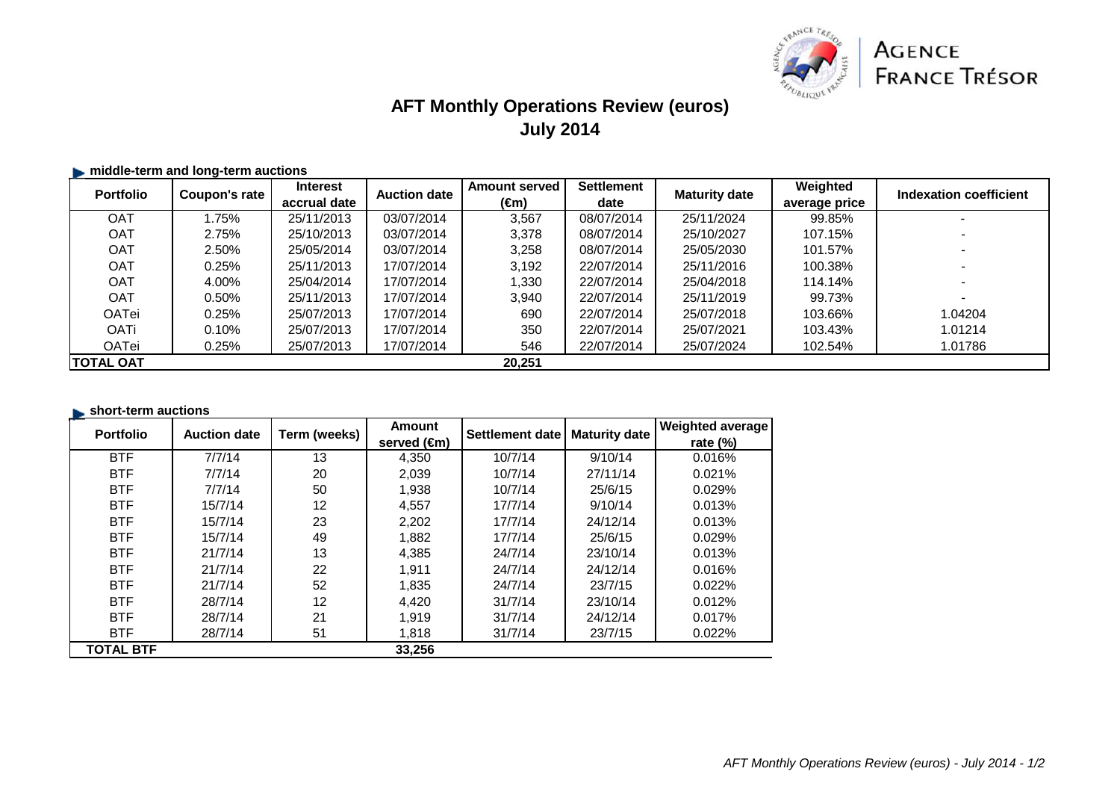

# **AFT Monthly Operations Review (euros)July 2014**

## $\blacktriangleright$  **middle-term and long-term auctions**

| <b>Portfolio</b> | Coupon's rate | <b>Interest</b> | <b>Auction date</b> | <b>Amount served</b> | <b>Settlement</b> | <b>Maturity date</b> | Weighted      | Indexation coefficient   |
|------------------|---------------|-----------------|---------------------|----------------------|-------------------|----------------------|---------------|--------------------------|
|                  |               | accrual date    |                     | (€m)                 | date              |                      | average price |                          |
| OAT              | .75%          | 25/11/2013      | 03/07/2014          | 3,567                | 08/07/2014        | 25/11/2024           | 99.85%        |                          |
| <b>OAT</b>       | 2.75%         | 25/10/2013      | 03/07/2014          | 3,378                | 08/07/2014        | 25/10/2027           | 107.15%       |                          |
| <b>OAT</b>       | 2.50%         | 25/05/2014      | 03/07/2014          | 3,258                | 08/07/2014        | 25/05/2030           | 101.57%       |                          |
| <b>OAT</b>       | 0.25%         | 25/11/2013      | 17/07/2014          | 3,192                | 22/07/2014        | 25/11/2016           | 100.38%       |                          |
| <b>OAT</b>       | 4.00%         | 25/04/2014      | 17/07/2014          | 1.330                | 22/07/2014        | 25/04/2018           | 114.14%       |                          |
| <b>OAT</b>       | 0.50%         | 25/11/2013      | 17/07/2014          | 3.940                | 22/07/2014        | 25/11/2019           | 99.73%        | $\overline{\phantom{0}}$ |
| <b>OATei</b>     | 0.25%         | 25/07/2013      | 17/07/2014          | 690                  | 22/07/2014        | 25/07/2018           | 103.66%       | 1.04204                  |
| <b>OATi</b>      | 0.10%         | 25/07/2013      | 17/07/2014          | 350                  | 22/07/2014        | 25/07/2021           | 103.43%       | 1.01214                  |
| <b>OATei</b>     | 0.25%         | 25/07/2013      | 17/07/2014          | 546                  | 22/07/2014        | 25/07/2024           | 102.54%       | 1.01786                  |
| <b>TOTAL OAT</b> |               |                 |                     | 20.251               |                   |                      |               |                          |

### **short-term auctions**

| <b>Portfolio</b> | <b>Auction date</b> | Term (weeks)      | <b>Amount</b>         | Settlement date | <b>Maturity date</b> | <b>Weighted average</b> |
|------------------|---------------------|-------------------|-----------------------|-----------------|----------------------|-------------------------|
|                  |                     |                   | served $(\epsilon m)$ |                 |                      | rate $(\%)$             |
| <b>BTF</b>       | 7/7/14              | 13                | 4,350                 | 10/7/14         | 9/10/14              | 0.016%                  |
| <b>BTF</b>       | 7/7/14              | 20                | 2,039                 | 10/7/14         | 27/11/14             | 0.021%                  |
| <b>BTF</b>       | 7/7/14              | 50                | 1,938                 | 10/7/14         | 25/6/15              | 0.029%                  |
| <b>BTF</b>       | 15/7/14             | 12                | 4,557                 | 17/7/14         | 9/10/14              | 0.013%                  |
| <b>BTF</b>       | 15/7/14             | 23                | 2,202                 | 17/7/14         | 24/12/14             | 0.013%                  |
| <b>BTF</b>       | 15/7/14             | 49                | 1,882                 | 17/7/14         | 25/6/15              | 0.029%                  |
| <b>BTF</b>       | 21/7/14             | 13                | 4,385                 | 24/7/14         | 23/10/14             | 0.013%                  |
| <b>BTF</b>       | 21/7/14             | 22                | 1,911                 | 24/7/14         | 24/12/14             | 0.016%                  |
| <b>BTF</b>       | 21/7/14             | 52                | 1,835                 | 24/7/14         | 23/7/15              | 0.022%                  |
| <b>BTF</b>       | 28/7/14             | $12 \overline{ }$ | 4,420                 | 31/7/14         | 23/10/14             | 0.012%                  |
| <b>BTF</b>       | 28/7/14             | 21                | 1,919                 | 31/7/14         | 24/12/14             | 0.017%                  |
| <b>BTF</b>       | 28/7/14             | 51                | 1,818                 | 31/7/14         | 23/7/15              | 0.022%                  |
| <b>TOTAL BTF</b> |                     |                   | 33,256                |                 |                      |                         |